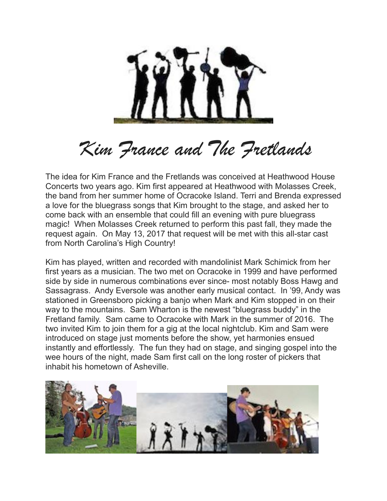

## *Kim France and The Fretlands*

The idea for Kim France and the Fretlands was conceived at Heathwood House Concerts two years ago. Kim first appeared at Heathwood with Molasses Creek, the band from her summer home of Ocracoke Island. Terri and Brenda expressed a love for the bluegrass songs that Kim brought to the stage, and asked her to come back with an ensemble that could fill an evening with pure bluegrass magic! When Molasses Creek returned to perform this past fall, they made the request again. On May 13, 2017 that request will be met with this all-star cast from North Carolina's High Country!

Kim has played, written and recorded with mandolinist Mark Schimick from her first years as a musician. The two met on Ocracoke in 1999 and have performed side by side in numerous combinations ever since- most notably Boss Hawg and Sassagrass. Andy Eversole was another early musical contact. In '99, Andy was stationed in Greensboro picking a banjo when Mark and Kim stopped in on their way to the mountains. Sam Wharton is the newest "bluegrass buddy" in the Fretland family. Sam came to Ocracoke with Mark in the summer of 2016. The two invited Kim to join them for a gig at the local nightclub. Kim and Sam were introduced on stage just moments before the show, yet harmonies ensued instantly and effortlessly. The fun they had on stage, and singing gospel into the wee hours of the night, made Sam first call on the long roster of pickers that inhabit his hometown of Asheville.

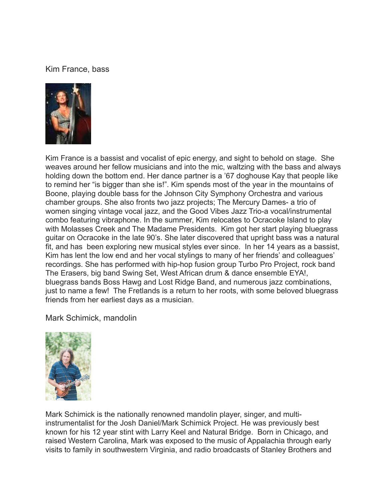## Kim France, bass



Kim France is a bassist and vocalist of epic energy, and sight to behold on stage. She weaves around her fellow musicians and into the mic, waltzing with the bass and always holding down the bottom end. Her dance partner is a '67 doghouse Kay that people like to remind her "is bigger than she is!". Kim spends most of the year in the mountains of Boone, playing double bass for the Johnson City Symphony Orchestra and various chamber groups. She also fronts two jazz projects; The Mercury Dames- a trio of women singing vintage vocal jazz, and the Good Vibes Jazz Trio-a vocal/instrumental combo featuring vibraphone. In the summer, Kim relocates to Ocracoke Island to play with Molasses Creek and The Madame Presidents. Kim got her start playing bluegrass guitar on Ocracoke in the late 90's. She later discovered that upright bass was a natural fit, and has been exploring new musical styles ever since. In her 14 years as a bassist, Kim has lent the low end and her vocal stylings to many of her friends' and colleagues' recordings. She has performed with hip-hop fusion group Turbo Pro Project, rock band The Erasers, big band Swing Set, West African drum & dance ensemble EYA!, bluegrass bands Boss Hawg and Lost Ridge Band, and numerous jazz combinations, just to name a few! The Fretlands is a return to her roots, with some beloved bluegrass friends from her earliest days as a musician.

Mark Schimick, mandolin



Mark Schimick is the nationally renowned mandolin player, singer, and multiinstrumentalist for the Josh Daniel/Mark Schimick Project. He was previously best known for his 12 year stint with Larry Keel and Natural Bridge. Born in Chicago, and raised Western Carolina, Mark was exposed to the music of Appalachia through early visits to family in southwestern Virginia, and radio broadcasts of Stanley Brothers and